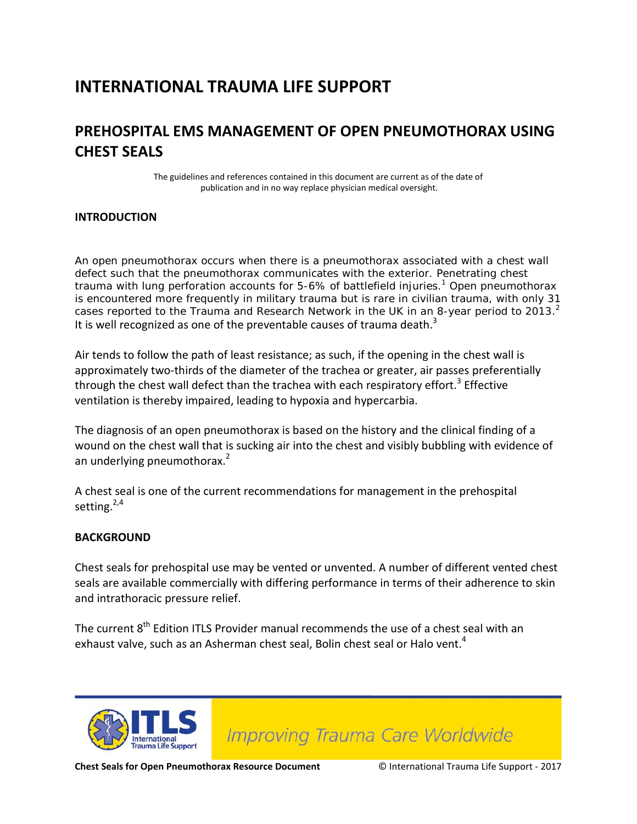## **INTERNATIONAL TRAUMA LIFE SUPPORT**

## **PREHOSPITAL EMS MANAGEMENT OF OPEN PNEUMOTHORAX USING CHEST SEALS**

The guidelines and references contained in this document are current as of the date of publication and in no way replace physician medical oversight.

#### **INTRODUCTION**

An open pneumothorax occurs when there is a pneumothorax associated with a chest wall defect such that the pneumothorax communicates with the exterior. Penetrating chest trauma with lung perforation accounts for 5-6% of battlefield injuries.<sup>1</sup> Open pneumothorax is encountered more frequently in military trauma but is rare in civilian trauma, with only 31 cases reported to the Trauma and Research Network in the UK in an 8-year period to 2013.<sup>2</sup> It is well recognized as one of the preventable causes of trauma death.<sup>3</sup>

Air tends to follow the path of least resistance; as such, if the opening in the chest wall is approximately two-thirds of the diameter of the trachea or greater, air passes preferentially through the chest wall defect than the trachea with each respiratory effort.<sup>3</sup> Effective ventilation is thereby impaired, leading to hypoxia and hypercarbia.

The diagnosis of an open pneumothorax is based on the history and the clinical finding of a wound on the chest wall that is sucking air into the chest and visibly bubbling with evidence of an underlying pneumothorax.<sup>2</sup>

A chest seal is one of the current recommendations for management in the prehospital setting.<sup>2,4</sup>

#### **BACKGROUND**

Chest seals for prehospital use may be vented or unvented. A number of different vented chest seals are available commercially with differing performance in terms of their adherence to skin and intrathoracic pressure relief.

The current 8<sup>th</sup> Edition ITLS Provider manual recommends the use of a chest seal with an exhaust valve, such as an Asherman chest seal, Bolin chest seal or Halo vent.<sup>4</sup>



**Improving Trauma Care Worldwide**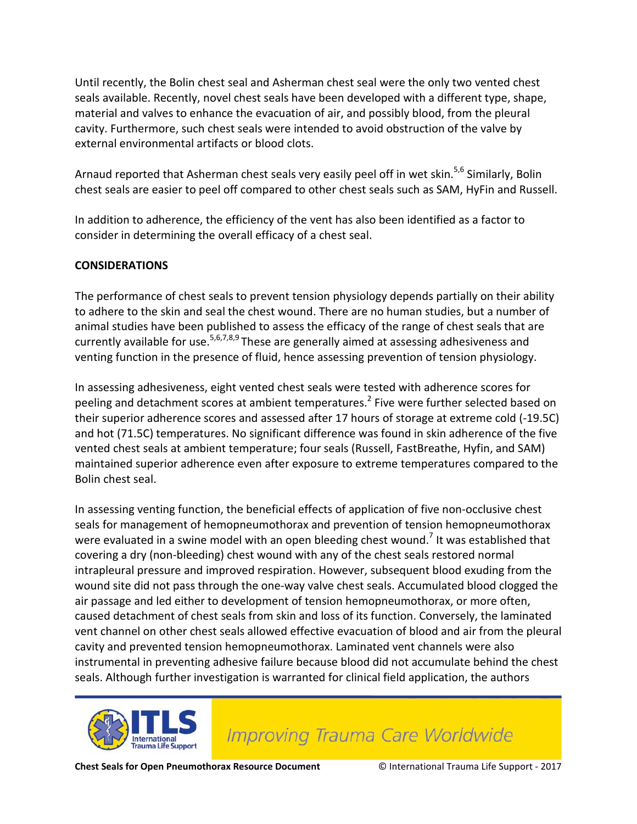Until recently, the Bolin chest seal and Asherman chest seal were the only two vented chest seals available. Recently, novel chest seals have been developed with a different type, shape, material and valves to enhance the evacuation of air, and possibly blood, from the pleural cavity. Furthermore, such chest seals were intended to avoid obstruction of the valve by external environmental artifacts or blood clots.

Arnaud reported that Asherman chest seals very easily peel off in wet skin.<sup>5,6</sup> Similarly, Bolin chest seals are easier to peel off compared to other chest seals such as SAM, HyFin and Russell.

In addition to adherence, the efficiency of the vent has also been identified as a factor to consider in determining the overall efficacy of a chest seal.

#### **CONSIDERATIONS**

The performance of chest seals to prevent tension physiology depends partially on their ability to adhere to the skin and seal the chest wound. There are no human studies, but a number of animal studies have been published to assess the efficacy of the range of chest seals that are currently available for use.<sup>5,6,7,8,9</sup> These are generally aimed at assessing adhesiveness and venting function in the presence of fluid, hence assessing prevention of tension physiology.

In assessing adhesiveness, eight vented chest seals were tested with adherence scores for peeling and detachment scores at ambient temperatures.<sup>2</sup> Five were further selected based on their superior adherence scores and assessed after 17 hours of storage at extreme cold (-19.5C) and hot (71.5C) temperatures. No significant difference was found in skin adherence of the five vented chest seals at ambient temperature; four seals (Russell, FastBreathe, Hyfin, and SAM) maintained superior adherence even after exposure to extreme temperatures compared to the Bolin chest seal.

In assessing venting function, the beneficial effects of application of five non-occlusive chest seals for management of hemopneumothorax and prevention of tension hemopneumothorax were evaluated in a swine model with an open bleeding chest wound.<sup>7</sup> It was established that covering a dry (non-bleeding) chest wound with any of the chest seals restored normal intrapleural pressure and improved respiration. However, subsequent blood exuding from the wound site did not pass through the one-way valve chest seals. Accumulated blood clogged the air passage and led either to development of tension hemopneumothorax, or more often, caused detachment of chest seals from skin and loss of its function. Conversely, the laminated vent channel on other chest seals allowed effective evacuation of blood and air from the pleural cavity and prevented tension hemopneumothorax. Laminated vent channels were also instrumental in preventing adhesive failure because blood did not accumulate behind the chest seals. Although further investigation is warranted for clinical field application, the authors



**Improving Trauma Care Worldwide**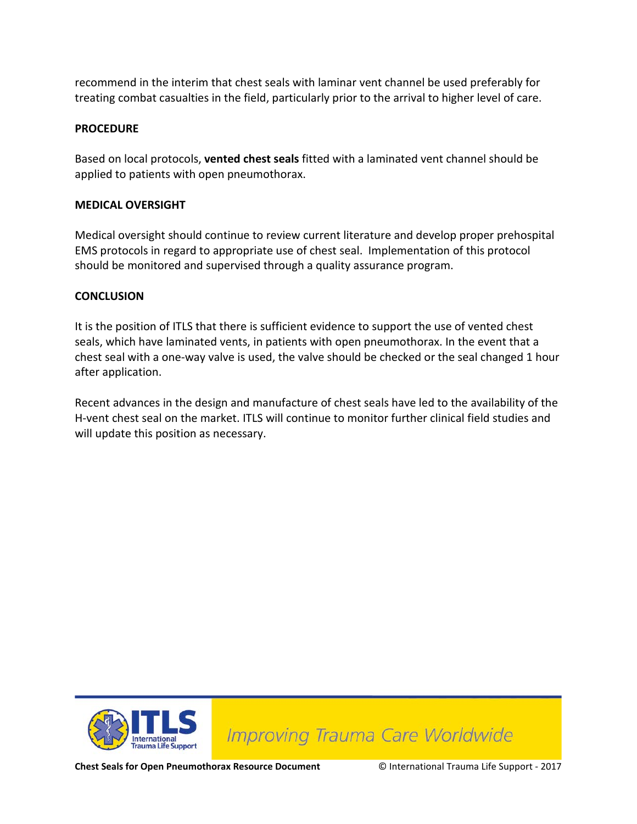recommend in the interim that chest seals with laminar vent channel be used preferably for treating combat casualties in the field, particularly prior to the arrival to higher level of care.

#### **PROCEDURE**

Based on local protocols, **vented chest seals** fitted with a laminated vent channel should be applied to patients with open pneumothorax.

#### **MEDICAL OVERSIGHT**

Medical oversight should continue to review current literature and develop proper prehospital EMS protocols in regard to appropriate use of chest seal. Implementation of this protocol should be monitored and supervised through a quality assurance program.

#### **CONCLUSION**

It is the position of ITLS that there is sufficient evidence to support the use of vented chest seals, which have laminated vents, in patients with open pneumothorax. In the event that a chest seal with a one-way valve is used, the valve should be checked or the seal changed 1 hour after application.

Recent advances in the design and manufacture of chest seals have led to the availability of the H-vent chest seal on the market. ITLS will continue to monitor further clinical field studies and will update this position as necessary.



**Improving Trauma Care Worldwide** 

**Chest Seals for Open Pneumothorax Resource Document** © International Trauma Life Support - 2017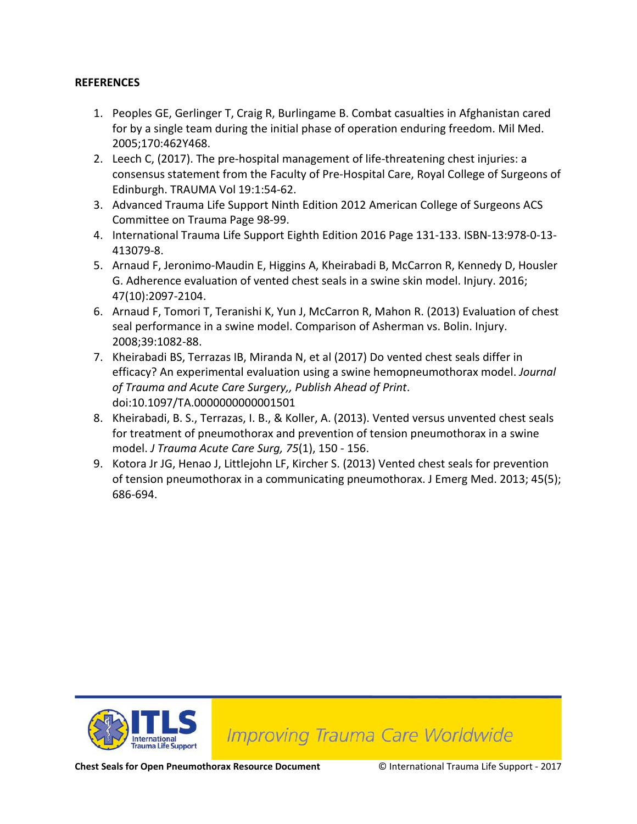#### **REFERENCES**

- 1. Peoples GE, Gerlinger T, Craig R, Burlingame B. Combat casualties in Afghanistan cared for by a single team during the initial phase of operation enduring freedom. Mil Med. 2005;170:462Y468.
- 2. Leech C, (2017). The pre-hospital management of life-threatening chest injuries: a consensus statement from the Faculty of Pre-Hospital Care, Royal College of Surgeons of Edinburgh. TRAUMA Vol 19:1:54-62.
- 3. Advanced Trauma Life Support Ninth Edition 2012 American College of Surgeons ACS Committee on Trauma Page 98-99.
- 4. International Trauma Life Support Eighth Edition 2016 Page 131-133. ISBN-13:978-0-13- 413079-8.
- 5. Arnaud F, Jeronimo-Maudin E, Higgins A, Kheirabadi B, McCarron R, Kennedy D, Housler G. Adherence evaluation of vented chest seals in a swine skin model. Injury. 2016; 47(10):2097-2104.
- 6. Arnaud F, Tomori T, Teranishi K, Yun J, McCarron R, Mahon R. (2013) Evaluation of chest seal performance in a swine model. Comparison of Asherman vs. Bolin. Injury. 2008;39:1082-88.
- 7. Kheirabadi BS, Terrazas IB, Miranda N, et al (2017) Do vented chest seals differ in efficacy? An experimental evaluation using a swine hemopneumothorax model. *Journal of Trauma and Acute Care Surgery,, Publish Ahead of Print*. doi:10.1097/TA.0000000000001501
- 8. Kheirabadi, B. S., Terrazas, I. B., & Koller, A. (2013). Vented versus unvented chest seals for treatment of pneumothorax and prevention of tension pneumothorax in a swine model. *J Trauma Acute Care Surg, 75*(1), 150 - 156.
- 9. Kotora Jr JG, Henao J, Littlejohn LF, Kircher S. (2013) Vented chest seals for prevention of tension pneumothorax in a communicating pneumothorax. J Emerg Med. 2013; 45(5); 686-694.



**Improving Trauma Care Worldwide** 

**Chest Seals for Open Pneumothorax Resource Document** © International Trauma Life Support - 2017